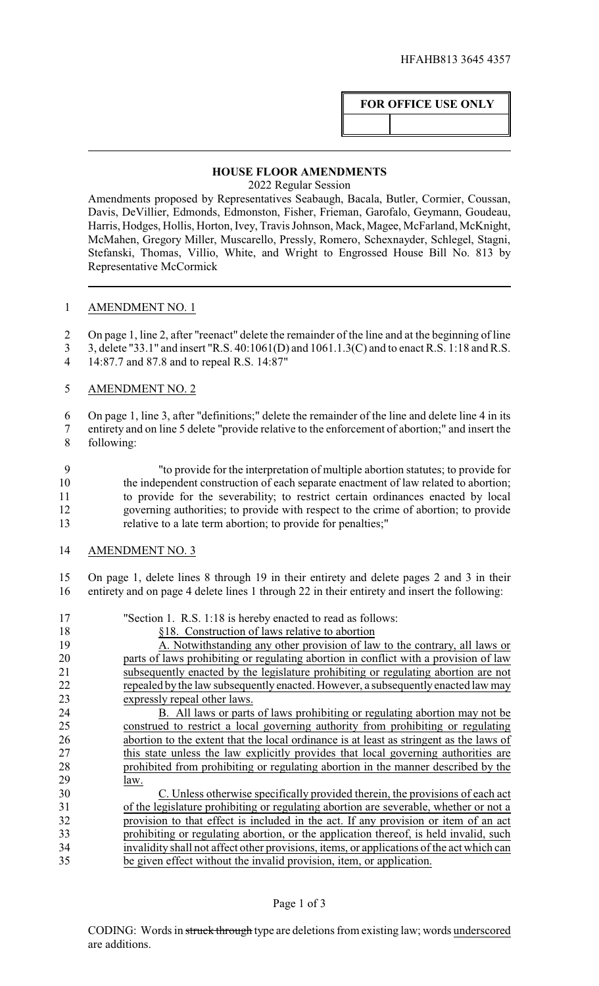## **FOR OFFICE USE ONLY**

## **HOUSE FLOOR AMENDMENTS**

2022 Regular Session

Amendments proposed by Representatives Seabaugh, Bacala, Butler, Cormier, Coussan, Davis, DeVillier, Edmonds, Edmonston, Fisher, Frieman, Garofalo, Geymann, Goudeau, Harris, Hodges, Hollis, Horton, Ivey, Travis Johnson, Mack, Magee, McFarland, McKnight, McMahen, Gregory Miller, Muscarello, Pressly, Romero, Schexnayder, Schlegel, Stagni, Stefanski, Thomas, Villio, White, and Wright to Engrossed House Bill No. 813 by Representative McCormick

## AMENDMENT NO. 1

- On page 1, line 2, after "reenact" delete the remainder of the line and at the beginning of line
- 3, delete "33.1" and insert "R.S. 40:1061(D) and 1061.1.3(C) and to enact R.S. 1:18 and R.S.
- 14:87.7 and 87.8 and to repeal R.S. 14:87"

## AMENDMENT NO. 2

On page 1, line 3, after "definitions;" delete the remainder of the line and delete line 4 in its

- entirety and on line 5 delete "provide relative to the enforcement of abortion;" and insert the following:
- "to provide for the interpretation of multiple abortion statutes; to provide for the independent construction of each separate enactment of law related to abortion; to provide for the severability; to restrict certain ordinances enacted by local governing authorities; to provide with respect to the crime of abortion; to provide relative to a late term abortion; to provide for penalties;"
- AMENDMENT NO. 3
- On page 1, delete lines 8 through 19 in their entirety and delete pages 2 and 3 in their entirety and on page 4 delete lines 1 through 22 in their entirety and insert the following:

| "Section 1. R.S. 1:18 is hereby enacted to read as follows:                               |
|-------------------------------------------------------------------------------------------|
| §18. Construction of laws relative to abortion                                            |
| A. Notwithstanding any other provision of law to the contrary, all laws or                |
| parts of laws prohibiting or regulating abortion in conflict with a provision of law      |
| subsequently enacted by the legislature prohibiting or regulating abortion are not        |
| repealed by the law subsequently enacted. However, a subsequently enacted law may         |
| expressly repeal other laws.                                                              |
| B. All laws or parts of laws prohibiting or regulating abortion may not be                |
| construed to restrict a local governing authority from prohibiting or regulating          |
| abortion to the extent that the local ordinance is at least as stringent as the laws of   |
| this state unless the law explicitly provides that local governing authorities are        |
| prohibited from prohibiting or regulating abortion in the manner described by the         |
| law.                                                                                      |
| C. Unless otherwise specifically provided therein, the provisions of each act             |
| of the legislature prohibiting or regulating abortion are severable, whether or not a     |
| provision to that effect is included in the act. If any provision or item of an act       |
| prohibiting or regulating abortion, or the application thereof, is held invalid, such     |
| invalidity shall not affect other provisions, items, or applications of the act which can |
| be given effect without the invalid provision, item, or application.                      |
|                                                                                           |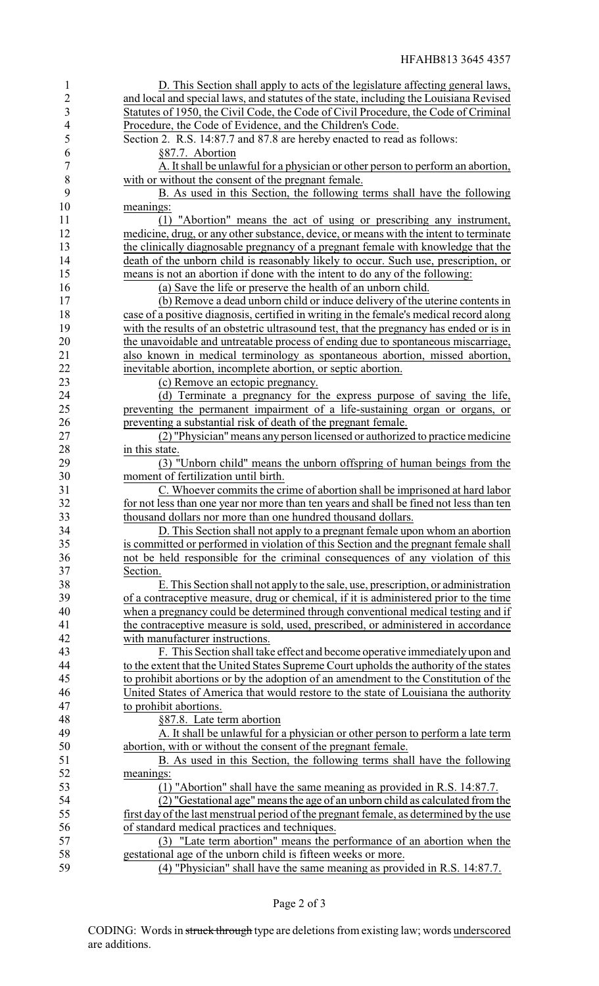| $\mathbf{1}$   | D. This Section shall apply to acts of the legislature affecting general laws,          |
|----------------|-----------------------------------------------------------------------------------------|
| $\overline{c}$ | and local and special laws, and statutes of the state, including the Louisiana Revised  |
| 3              | Statutes of 1950, the Civil Code, the Code of Civil Procedure, the Code of Criminal     |
| $\overline{4}$ | Procedure, the Code of Evidence, and the Children's Code.                               |
| 5              | Section 2. R.S. 14:87.7 and 87.8 are hereby enacted to read as follows:                 |
| 6              | §87.7. Abortion                                                                         |
| 7              | A. It shall be unlawful for a physician or other person to perform an abortion,         |
| 8              | with or without the consent of the pregnant female.                                     |
| 9              | B. As used in this Section, the following terms shall have the following                |
| 10             | meanings:                                                                               |
| 11             | (1) "Abortion" means the act of using or prescribing any instrument,                    |
| 12             | medicine, drug, or any other substance, device, or means with the intent to terminate   |
| 13             | the clinically diagnosable pregnancy of a pregnant female with knowledge that the       |
| 14             | death of the unborn child is reasonably likely to occur. Such use, prescription, or     |
| 15             | means is not an abortion if done with the intent to do any of the following:            |
| 16             | (a) Save the life or preserve the health of an unborn child.                            |
| 17             | (b) Remove a dead unborn child or induce delivery of the uterine contents in            |
| 18             | case of a positive diagnosis, certified in writing in the female's medical record along |
| 19             | with the results of an obstetric ultrasound test, that the pregnancy has ended or is in |
| 20             | the unavoidable and untreatable process of ending due to spontaneous miscarriage,       |
| 21             | also known in medical terminology as spontaneous abortion, missed abortion,             |
| 22             | inevitable abortion, incomplete abortion, or septic abortion.                           |
| 23             | (c) Remove an ectopic pregnancy.                                                        |
| 24             | (d) Terminate a pregnancy for the express purpose of saving the life,                   |
| 25             | preventing the permanent impairment of a life-sustaining organ or organs, or            |
| 26             | preventing a substantial risk of death of the pregnant female.                          |
| 27             | (2) "Physician" means any person licensed or authorized to practice medicine            |
| 28             | in this state.                                                                          |
| 29             | (3) "Unborn child" means the unborn offspring of human beings from the                  |
| 30             | moment of fertilization until birth.                                                    |
| 31             | C. Whoever commits the crime of abortion shall be imprisoned at hard labor              |
| 32             | for not less than one year nor more than ten years and shall be fined not less than ten |
| 33             | thousand dollars nor more than one hundred thousand dollars.                            |
| 34             | D. This Section shall not apply to a pregnant female upon whom an abortion              |
| 35             | is committed or performed in violation of this Section and the pregnant female shall    |
| 36             | not be held responsible for the criminal consequences of any violation of this          |
| 37             | Section.                                                                                |
| 38             | E. This Section shall not apply to the sale, use, prescription, or administration       |
| 39             | of a contraceptive measure, drug or chemical, if it is administered prior to the time   |
| 40             | when a pregnancy could be determined through conventional medical testing and if        |
| 41             | the contraceptive measure is sold, used, prescribed, or administered in accordance      |
| 42             | with manufacturer instructions.                                                         |
| 43             | F. This Section shall take effect and become operative immediately upon and             |
| 44             | to the extent that the United States Supreme Court upholds the authority of the states  |
| 45             | to prohibit abortions or by the adoption of an amendment to the Constitution of the     |
| 46<br>47       | United States of America that would restore to the state of Louisiana the authority     |
| 48             | to prohibit abortions.<br>§87.8. Late term abortion                                     |
| 49             | A. It shall be unlawful for a physician or other person to perform a late term          |
| 50             | abortion, with or without the consent of the pregnant female.                           |
| 51             | B. As used in this Section, the following terms shall have the following                |
| 52             | meanings:                                                                               |
| 53             | (1) "Abortion" shall have the same meaning as provided in R.S. 14:87.7.                 |
| 54             | (2) "Gestational age" means the age of an unborn child as calculated from the           |
| 55             | first day of the last menstrual period of the pregnant female, as determined by the use |
| 56             | of standard medical practices and techniques.                                           |
| 57             | (3) "Late term abortion" means the performance of an abortion when the                  |
| 58             | gestational age of the unborn child is fifteen weeks or more.                           |
| 59             | (4) "Physician" shall have the same meaning as provided in R.S. 14:87.7.                |
|                |                                                                                         |